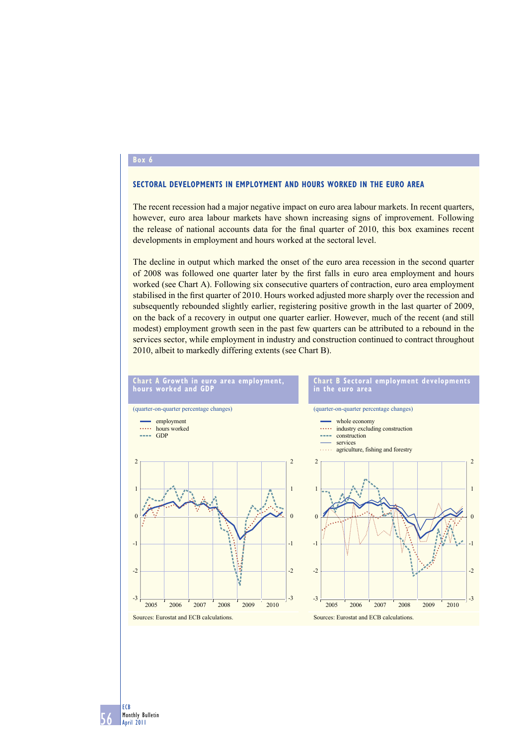### **Box 6**

### **SECTORAL DEVELOPMENTS IN EMPLOYMENT AND HOURS WORKED IN THE EURO AREA**

The recent recession had a major negative impact on euro area labour markets. In recent quarters, however, euro area labour markets have shown increasing signs of improvement. Following the release of national accounts data for the final quarter of 2010, this box examines recent developments in employment and hours worked at the sectoral level.

The decline in output which marked the onset of the euro area recession in the second quarter of 2008 was followed one quarter later by the first falls in euro area employment and hours worked (see Chart A). Following six consecutive quarters of contraction, euro area employment stabilised in the first quarter of 2010. Hours worked adjusted more sharply over the recession and subsequently rebounded slightly earlier, registering positive growth in the last quarter of 2009, on the back of a recovery in output one quarter earlier. However, much of the recent (and still modest) employment growth seen in the past few quarters can be attributed to a rebound in the services sector, while employment in industry and construction continued to contract throughout 2010, albeit to markedly differing extents (see Chart B).



56 ECB Monthly Bulletin April 2011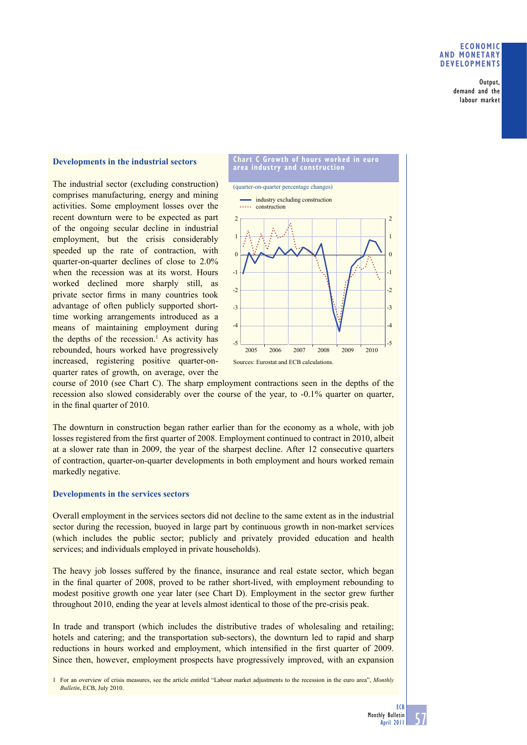### **ECONOMIC AND MONETARY DEVELOPMENTS**

Output, demand and the labour market

## **Developments in the industrial sectors**

The industrial sector (excluding construction) comprises manufacturing, energy and mining activities. Some employment losses over the recent downturn were to be expected as part of the ongoing secular decline in industrial employment, but the crisis considerably speeded up the rate of contraction, with quarter-on-quarter declines of close to 2.0% when the recession was at its worst. Hours worked declined more sharply still, as private sector firms in many countries took advantage of often publicly supported shorttime working arrangements introduced as a means of maintaining employment during the depths of the recession.<sup>1</sup> As activity has rebounded, hours worked have progressively increased, registering positive quarter-onquarter rates of growth, on average, over the



course of 2010 (see Chart C). The sharp employment contractions seen in the depths of the recession also slowed considerably over the course of the year, to -0.1% quarter on quarter, in the final quarter of 2010.

The downturn in construction began rather earlier than for the economy as a whole, with job losses registered from the first quarter of 2008. Employment continued to contract in 2010, albeit at a slower rate than in 2009, the year of the sharpest decline. After 12 consecutive quarters of contraction, quarter-on-quarter developments in both employment and hours worked remain markedly negative.

### **Developments in the services sectors**

Overall employment in the services sectors did not decline to the same extent as in the industrial sector during the recession, buoyed in large part by continuous growth in non-market services (which includes the public sector; publicly and privately provided education and health services; and individuals employed in private households).

The heavy job losses suffered by the finance, insurance and real estate sector, which began in the final quarter of 2008, proved to be rather short-lived, with employment rebounding to modest positive growth one year later (see Chart D). Employment in the sector grew further throughout 2010, ending the year at levels almost identical to those of the pre-crisis peak.

In trade and transport (which includes the distributive trades of wholesaling and retailing; hotels and catering; and the transportation sub-sectors), the downturn led to rapid and sharp reductions in hours worked and employment, which intensified in the first quarter of 2009. Since then, however, employment prospects have progressively improved, with an expansion

1 For an overview of crisis measures, see the article entitled "Labour market adjustments to the recession in the euro area", *Monthly Bulletin*, ECB, July 2010.